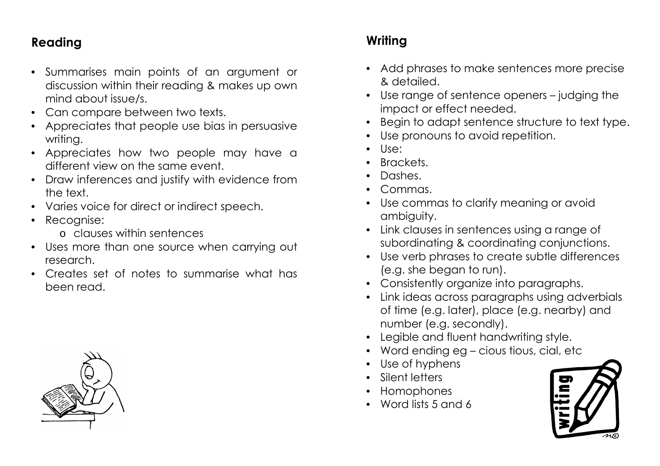## **Reading**

- Summarises main points of an argument or discussion within their reading & makes up own mind about issue/s.
- Can compare between two texts.
- Appreciates that people use bias in persuasive writing.
- Appreciates how two people may have a different view on the same event.
- Draw inferences and justify with evidence from the text.
- Varies voice for direct or indirect speech.
- Recognise:
	- o clauses within sentences
- Uses more than one source when carrying out research.
- Creates set of notes to summarise what has been read.



- Add phrases to make sentences more precise & detailed.
- Use range of sentence openers judging the impact or effect needed.
- Begin to adapt sentence structure to text type.
- Use pronouns to avoid repetition.
- Use:
- Brackets.
- Dashes.
- Commas.
- Use commas to clarify meaning or avoid ambiguity.
- Link clauses in sentences using a range of subordinating & coordinating conjunctions.
- Use verb phrases to create subtle differences (e.g. she began to run).
- Consistently organize into paragraphs.
- Link ideas across paragraphs using adverbials of time (e.g. later), place (e.g. nearby) and number (e.g. secondly).
- Legible and fluent handwriting style.
- Word ending eg cious tious, cial, etc
- Use of hyphens
- Silent letters
- Homophones
- Word lists 5 and 6